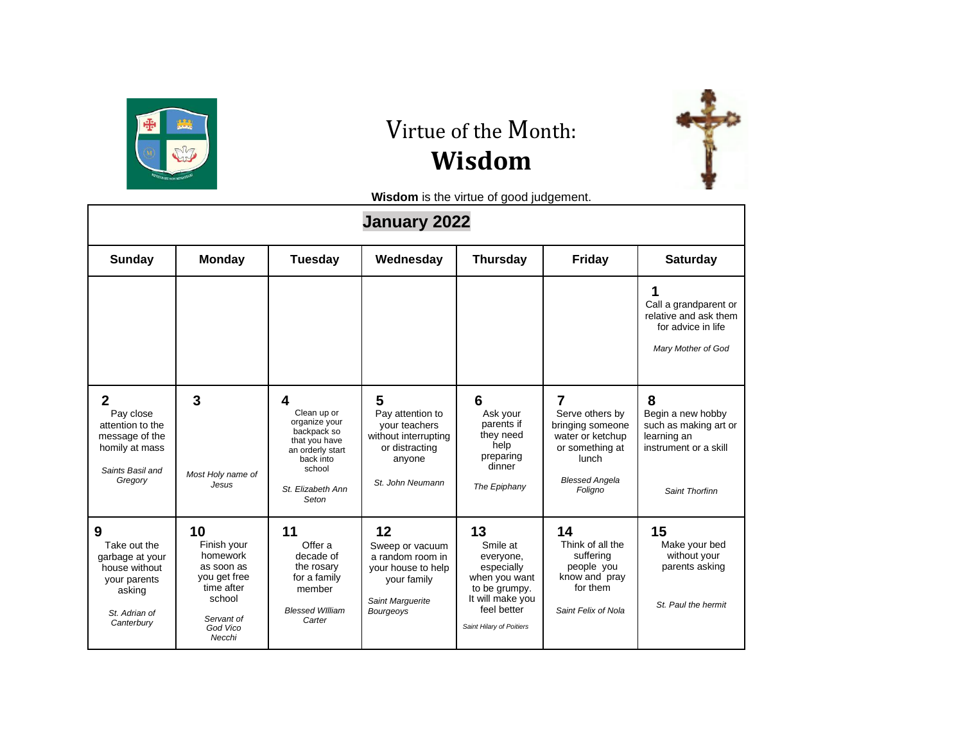

## Virtue of the Month: **Wisdom**



**Wisdom** is the virtue of good judgement.

|                                                                                                                  |                                                                                                                         |                                                                                                                                            | <b>January 2022</b>                                                                                             |                                                                                                                                            |                                                                                                                              |                                                                                                           |
|------------------------------------------------------------------------------------------------------------------|-------------------------------------------------------------------------------------------------------------------------|--------------------------------------------------------------------------------------------------------------------------------------------|-----------------------------------------------------------------------------------------------------------------|--------------------------------------------------------------------------------------------------------------------------------------------|------------------------------------------------------------------------------------------------------------------------------|-----------------------------------------------------------------------------------------------------------|
| Sunday                                                                                                           | <b>Monday</b>                                                                                                           | <b>Tuesday</b>                                                                                                                             | Wednesday                                                                                                       | <b>Thursday</b>                                                                                                                            | <b>Friday</b>                                                                                                                | <b>Saturday</b>                                                                                           |
|                                                                                                                  |                                                                                                                         |                                                                                                                                            |                                                                                                                 |                                                                                                                                            |                                                                                                                              | Call a grandparent or<br>relative and ask them<br>for advice in life<br>Mary Mother of God                |
| $\mathbf{2}$<br>Pay close<br>attention to the<br>message of the<br>homily at mass<br>Saints Basil and<br>Gregory | 3<br>Most Holy name of<br>Jesus                                                                                         | 4<br>Clean up or<br>organize your<br>backpack so<br>that you have<br>an orderly start<br>back into<br>school<br>St. Elizabeth Ann<br>Seton | 5<br>Pay attention to<br>your teachers<br>without interrupting<br>or distracting<br>anyone<br>St. John Neumann  | 6<br>Ask your<br>parents if<br>they need<br>help<br>preparing<br>dinner<br>The Epiphany                                                    | 7<br>Serve others by<br>bringing someone<br>water or ketchup<br>or something at<br>lunch<br><b>Blessed Angela</b><br>Foligno | 8<br>Begin a new hobby<br>such as making art or<br>learning an<br>instrument or a skill<br>Saint Thorfinn |
| 9<br>Take out the<br>garbage at your<br>house without<br>your parents<br>asking<br>St. Adrian of<br>Canterbury   | 10<br>Finish your<br>homework<br>as soon as<br>you get free<br>time after<br>school<br>Servant of<br>God Vico<br>Necchi | 11<br>Offer a<br>decade of<br>the rosary<br>for a family<br>member<br><b>Blessed William</b><br>Carter                                     | 12<br>Sweep or vacuum<br>a random room in<br>your house to help<br>your family<br>Saint Marquerite<br>Bourgeoys | 13<br>Smile at<br>everyone,<br>especially<br>when you want<br>to be grumpy.<br>It will make you<br>feel better<br>Saint Hilary of Poitiers | 14<br>Think of all the<br>suffering<br>people you<br>know and pray<br>for them<br>Saint Felix of Nola                        | 15<br>Make your bed<br>without vour<br>parents asking<br>St. Paul the hermit                              |